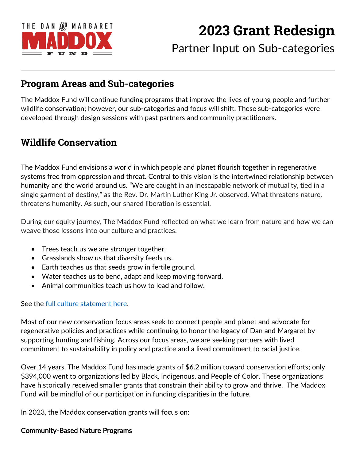

# **2023 Grant Redesign**

Partner Input on Sub-categories

### **Program Areas and Sub-categories**

The Maddox Fund will continue funding programs that improve the lives of young people and further wildlife conservation; however, our sub-categories and focus will shift. These sub-categories were developed through design sessions with past partners and community practitioners.

### **Wildlife Conservation**

The Maddox Fund envisions a world in which people and planet flourish together in regenerative systems free from oppression and threat. Central to this vision is the intertwined relationship between humanity and the world around us. "We are caught in an inescapable network of mutuality, tied in a single garment of destiny," as the Rev. Dr. Martin Luther King Jr. observed. What threatens nature, threatens humanity. As such, our shared liberation is essential.

During our equity journey, The Maddox Fund reflected on what we learn from nature and how we can weave those lessons into our culture and practices.

- Trees teach us we are stronger together.
- Grasslands show us that diversity feeds us.
- Earth teaches us that seeds grow in fertile ground.
- Water teaches us to bend, adapt and keep moving forward.
- Animal communities teach us how to lead and follow.

See the <u>full culture statement here</u>.

Most of our new conservation focus areas seek to connect people and planet and advocate for regenerative policies and practices while continuing to honor the legacy of Dan and Margaret by supporting hunting and fishing. Across our focus areas, we are seeking partners with lived commitment to sustainability in policy and practice and a lived commitment to racial justice.

Over 14 years, The Maddox Fund has made grants of \$6.2 million toward conservation efforts; only \$394,000 went to organizations led by Black, Indigenous, and People of Color. These organizations have historically received smaller grants that constrain their ability to grow and thrive. The Maddox Fund will be mindful of our participation in funding disparities in the future.

In 2023, the Maddox conservation grants will focus on:

#### Community-Based Nature Programs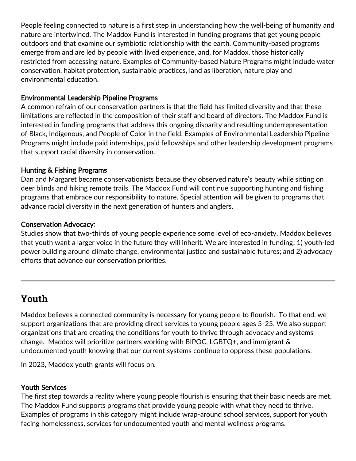People feeling connected to nature is a first step in understanding how the well-being of humanity and nature are intertwined. The Maddox Fund is interested in funding programs that get young people outdoors and that examine our symbiotic relationship with the earth. Community-based programs emerge from and are led by people with lived experience, and, for Maddox, those historically restricted from accessing nature. Examples of Community-based Nature Programs might include water conservation, habitat protection, sustainable practices, land as liberation, nature play and environmental education.

#### Environmental Leadership Pipeline Programs

A common refrain of our conservation partners is that the field has limited diversity and that these limitations are reflected in the composition of their staff and board of directors. The Maddox Fund is interested in funding programs that address this ongoing disparity and resulting underrepresentation of Black, Indigenous, and People of Color in the field. Examples of Environmental Leadership Pipeline Programs might include paid internships, paid fellowships and other leadership development programs that support racial diversity in conservation.

#### Hunting & Fishing Programs

Dan and Margaret became conservationists because they observed nature's beauty while sitting on deer blinds and hiking remote trails. The Maddox Fund will continue supporting hunting and fishing programs that embrace our responsibility to nature. Special attention will be given to programs that advance racial diversity in the next generation of hunters and anglers.

#### Conservation Advocacy:

Studies show that two-thirds of young people experience some level of eco-anxiety. Maddox believes that youth want a larger voice in the future they will inherit. We are interested in funding: 1) youth-led power building around climate change, environmental justice and sustainable futures; and 2) advocacy efforts that advance our conservation priorities.

# **Youth**

Maddox believes a connected community is necessary for young people to flourish. To that end, we support organizations that are providing direct services to young people ages 5-25. We also support organizations that are creating the conditions for youth to thrive through advocacy and systems change. Maddox will prioritize partners working with BIPOC, LGBTQ+, and immigrant & undocumented youth knowing that our current systems continue to oppress these populations.

In 2023, Maddox youth grants will focus on:

#### Youth Services

The first step towards a reality where young people flourish is ensuring that their basic needs are met. The Maddox Fund supports programs that provide young people with what they need to thrive. Examples of programs in this category might include wrap-around school services, support for youth facing homelessness, services for undocumented youth and mental wellness programs.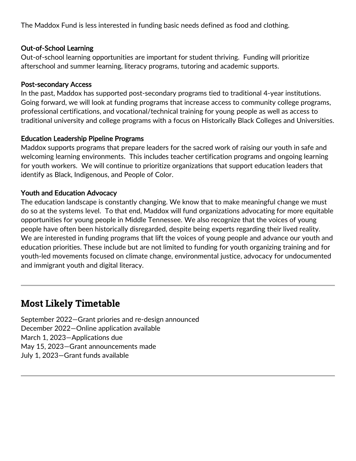The Maddox Fund is less interested in funding basic needs defined as food and clothing.

#### Out-of-School Learning

Out-of-school learning opportunities are important for student thriving. Funding will prioritize afterschool and summer learning, literacy programs, tutoring and academic supports.

#### Post-secondary Access

In the past, Maddox has supported post-secondary programs tied to traditional 4-year institutions. Going forward, we will look at funding programs that increase access to community college programs, professional certifications, and vocational/technical training for young people as well as access to traditional university and college programs with a focus on Historically Black Colleges and Universities.

#### Education Leadership Pipeline Programs

Maddox supports programs that prepare leaders for the sacred work of raising our youth in safe and welcoming learning environments. This includes teacher certification programs and ongoing learning for youth workers. We will continue to prioritize organizations that support education leaders that identify as Black, Indigenous, and People of Color.

#### Youth and Education Advocacy

The education landscape is constantly changing. We know that to make meaningful change we must do so at the systems level. To that end, Maddox will fund organizations advocating for more equitable opportunities for young people in Middle Tennessee. We also recognize that the voices of young people have often been historically disregarded, despite being experts regarding their lived reality. We are interested in funding programs that lift the voices of young people and advance our youth and education priorities. These include but are not limited to funding for youth organizing training and for youth-led movements focused on climate change, environmental justice, advocacy for undocumented and immigrant youth and digital literacy.

### **Most Likely Timetable**

September 2022—Grant priories and re-design announced December 2022—Online application available March 1, 2023—Applications due May 15, 2023—Grant announcements made July 1, 2023—Grant funds available